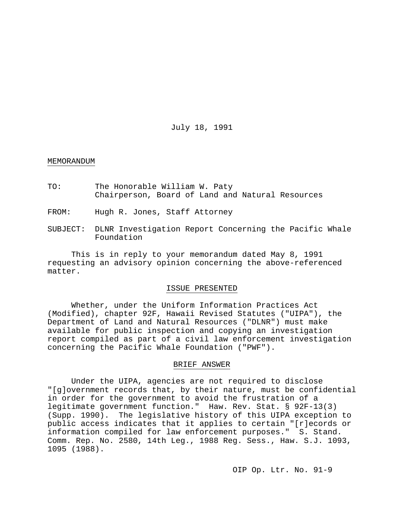July 18, 1991

#### MEMORANDUM

- TO: The Honorable William W. Paty Chairperson, Board of Land and Natural Resources
- FROM: Hugh R. Jones, Staff Attorney
- SUBJECT: DLNR Investigation Report Concerning the Pacific Whale Foundation

This is in reply to your memorandum dated May 8, 1991 requesting an advisory opinion concerning the above-referenced matter.

#### ISSUE PRESENTED

Whether, under the Uniform Information Practices Act (Modified), chapter 92F, Hawaii Revised Statutes ("UIPA"), the Department of Land and Natural Resources ("DLNR") must make available for public inspection and copying an investigation report compiled as part of a civil law enforcement investigation concerning the Pacific Whale Foundation ("PWF").

### BRIEF ANSWER

Under the UIPA, agencies are not required to disclose "[g]overnment records that, by their nature, must be confidential in order for the government to avoid the frustration of a legitimate government function." Haw. Rev. Stat. § 92F-13(3) (Supp. 1990). The legislative history of this UIPA exception to public access indicates that it applies to certain "[r]ecords or information compiled for law enforcement purposes." S. Stand. Comm. Rep. No. 2580, 14th Leg., 1988 Reg. Sess., Haw. S.J. 1093, 1095 (1988).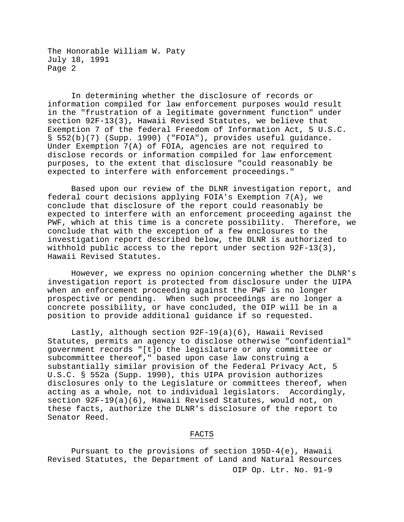In determining whether the disclosure of records or information compiled for law enforcement purposes would result in the "frustration of a legitimate government function" under section 92F-13(3), Hawaii Revised Statutes, we believe that Exemption 7 of the federal Freedom of Information Act, 5 U.S.C. § 552(b)(7) (Supp. 1990) ("FOIA"), provides useful guidance. Under Exemption 7(A) of FOIA, agencies are not required to disclose records or information compiled for law enforcement purposes, to the extent that disclosure "could reasonably be expected to interfere with enforcement proceedings."

Based upon our review of the DLNR investigation report, and federal court decisions applying FOIA's Exemption 7(A), we conclude that disclosure of the report could reasonably be expected to interfere with an enforcement proceeding against the PWF, which at this time is a concrete possibility. Therefore, we conclude that with the exception of a few enclosures to the investigation report described below, the DLNR is authorized to withhold public access to the report under section 92F-13(3), Hawaii Revised Statutes.

However, we express no opinion concerning whether the DLNR's investigation report is protected from disclosure under the UIPA when an enforcement proceeding against the PWF is no longer prospective or pending. When such proceedings are no longer a concrete possibility, or have concluded, the OIP will be in a position to provide additional guidance if so requested.

Lastly, although section 92F-19(a)(6), Hawaii Revised Statutes, permits an agency to disclose otherwise "confidential" government records "[t]o the legislature or any committee or subcommittee thereof," based upon case law construing a substantially similar provision of the Federal Privacy Act, 5 U.S.C. § 552a (Supp. 1990), this UIPA provision authorizes disclosures only to the Legislature or committees thereof, when acting as a whole, not to individual legislators. Accordingly, section 92F-19(a)(6), Hawaii Revised Statutes, would not, on these facts, authorize the DLNR's disclosure of the report to Senator Reed.

# FACTS

OIP Op. Ltr. No. 91-9 Pursuant to the provisions of section 195D-4(e), Hawaii Revised Statutes, the Department of Land and Natural Resources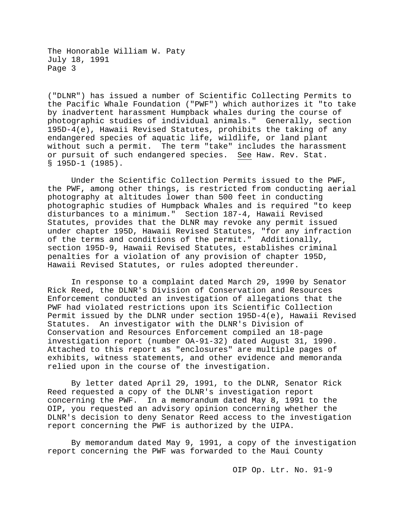("DLNR") has issued a number of Scientific Collecting Permits to the Pacific Whale Foundation ("PWF") which authorizes it "to take by inadvertent harassment Humpback whales during the course of photographic studies of individual animals." Generally, section 195D-4(e), Hawaii Revised Statutes, prohibits the taking of any endangered species of aquatic life, wildlife, or land plant without such a permit. The term "take" includes the harassment or pursuit of such endangered species. See Haw. Rev. Stat. § 195D-1 (1985).

Under the Scientific Collection Permits issued to the PWF, the PWF, among other things, is restricted from conducting aerial photography at altitudes lower than 500 feet in conducting photographic studies of Humpback Whales and is required "to keep disturbances to a minimum." Section 187-4, Hawaii Revised Statutes, provides that the DLNR may revoke any permit issued under chapter 195D, Hawaii Revised Statutes, "for any infraction of the terms and conditions of the permit." Additionally, section 195D-9, Hawaii Revised Statutes, establishes criminal penalties for a violation of any provision of chapter 195D, Hawaii Revised Statutes, or rules adopted thereunder.

In response to a complaint dated March 29, 1990 by Senator Rick Reed, the DLNR's Division of Conservation and Resources Enforcement conducted an investigation of allegations that the PWF had violated restrictions upon its Scientific Collection Permit issued by the DLNR under section 195D-4(e), Hawaii Revised Statutes. An investigator with the DLNR's Division of Conservation and Resources Enforcement compiled an 18-page investigation report (number OA-91-32) dated August 31, 1990. Attached to this report as "enclosures" are multiple pages of exhibits, witness statements, and other evidence and memoranda relied upon in the course of the investigation.

By letter dated April 29, 1991, to the DLNR, Senator Rick Reed requested a copy of the DLNR's investigation report concerning the PWF. In a memorandum dated May 8, 1991 to the OIP, you requested an advisory opinion concerning whether the DLNR's decision to deny Senator Reed access to the investigation report concerning the PWF is authorized by the UIPA.

By memorandum dated May 9, 1991, a copy of the investigation report concerning the PWF was forwarded to the Maui County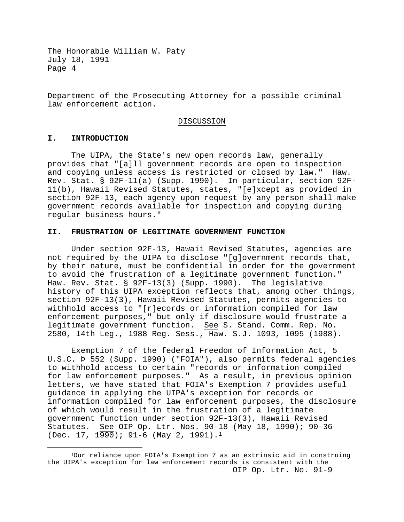Department of the Prosecuting Attorney for a possible criminal law enforcement action.

#### DISCUSSION

# **I. INTRODUCTION**

The UIPA, the State's new open records law, generally provides that "[a]ll government records are open to inspection and copying unless access is restricted or closed by law." Haw. Rev. Stat. § 92F-11(a) (Supp. 1990). In particular, section 92F-11(b), Hawaii Revised Statutes, states, "[e]xcept as provided in section 92F-13, each agency upon request by any person shall make government records available for inspection and copying during regular business hours."

# **II. FRUSTRATION OF LEGITIMATE GOVERNMENT FUNCTION**

Under section 92F-13, Hawaii Revised Statutes, agencies are not required by the UIPA to disclose "[g]overnment records that, by their nature, must be confidential in order for the government to avoid the frustration of a legitimate government function." Haw. Rev. Stat. § 92F-13(3) (Supp. 1990). The legislative history of this UIPA exception reflects that, among other things, section 92F-13(3), Hawaii Revised Statutes, permits agencies to withhold access to "[r]ecords or information compiled for law enforcement purposes," but only if disclosure would frustrate a legitimate government function. See S. Stand. Comm. Rep. No. 2580, 14th Leg., 1988 Reg. Sess., Haw. S.J. 1093, 1095 (1988).

Exemption 7 of the federal Freedom of Information Act, 5 U.S.C. Þ 552 (Supp. 1990) ("FOIA"), also permits federal agencies to withhold access to certain "records or information compiled for law enforcement purposes." As a result, in previous opinion letters, we have stated that FOIA's Exemption 7 provides useful guidance in applying the UIPA's exception for records or information compiled for law enforcement purposes, the disclosure of which would result in the frustration of a legitimate government function under section 92F-13(3), Hawaii Revised Statutes. See OIP Op. Ltr. Nos. 90-18 (May 18, 1990); 90-36 (Dec. [1](#page-3-0)7,  $1\overline{990}$ ); 91-6 (May 2, 1991).<sup>1</sup>

<span id="page-3-0"></span>OIP Op. Ltr. No. 91-9 1Our reliance upon FOIA's Exemption 7 as an extrinsic aid in construing the UIPA's exception for law enforcement records is consistent with the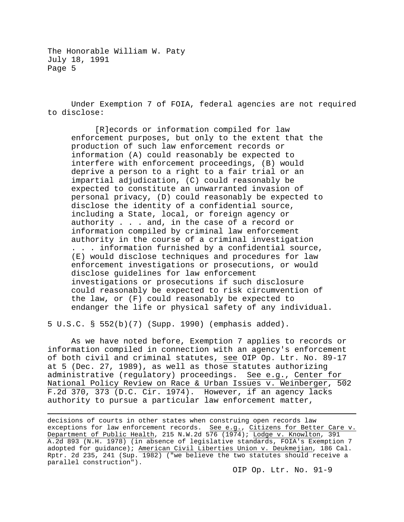Under Exemption 7 of FOIA, federal agencies are not required to disclose:

[R]ecords or information compiled for law enforcement purposes, but only to the extent that the production of such law enforcement records or information (A) could reasonably be expected to interfere with enforcement proceedings, (B) would deprive a person to a right to a fair trial or an impartial adjudication, (C) could reasonably be expected to constitute an unwarranted invasion of personal privacy, (D) could reasonably be expected to disclose the identity of a confidential source, including a State, local, or foreign agency or authority . . . and, in the case of a record or information compiled by criminal law enforcement authority in the course of a criminal investigation . . . information furnished by a confidential source, (E) would disclose techniques and procedures for law enforcement investigations or prosecutions, or would disclose guidelines for law enforcement investigations or prosecutions if such disclosure could reasonably be expected to risk circumvention of the law, or (F) could reasonably be expected to endanger the life or physical safety of any individual.

5 U.S.C. § 552(b)(7) (Supp. 1990) (emphasis added).

 $\overline{a}$ 

As we have noted before, Exemption 7 applies to records or information compiled in connection with an agency's enforcement of both civil and criminal statutes, see OIP Op. Ltr. No. 89-17 at 5 (Dec. 27, 1989), as well as those statutes authorizing administrative (regulatory) proceedings. See e.g., Center for National Policy Review on Race & Urban Issues v. Weinberger, 502 F.2d 370, 373 (D.C. Cir. 1974). However, if an agency lacks authority to pursue a particular law enforcement matter,

decisions of courts in other states when construing open records law exceptions for law enforcement records. <u>See e.g.</u>, <u>Citizens for Better Care v.</u> Department of Public Health, 215 N.W.2d 576 (1974); Lodge v. Knowlton, 391 A.2d 893 (N.H. 1978) (in absence of legislative standards, FOIA's Exemption 7 adopted for guidance); American Civil Liberties Union v. Deukmejian, 186 Cal. Rptr. 2d 235, 241 (Sup. 1982) ("we believe the two statutes should receive a parallel construction").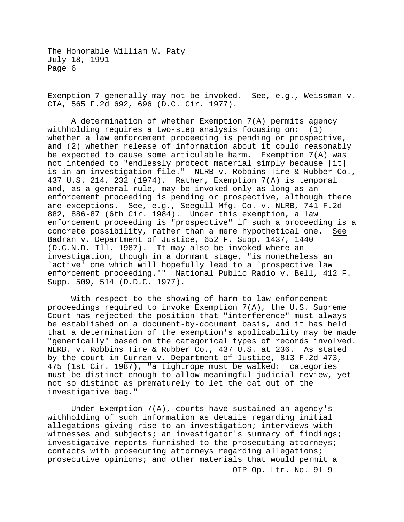Exemption 7 generally may not be invoked. See, e.g., Weissman v. CIA, 565 F.2d 692, 696 (D.C. Cir. 1977).

A determination of whether Exemption 7(A) permits agency withholding requires a two-step analysis focusing on: (1) whether a law enforcement proceeding is pending or prospective, and (2) whether release of information about it could reasonably be expected to cause some articulable harm. Exemption  $7(A)$  was not intended to "endlessly protect material simply because [it] is in an investigation file." NLRB v. Robbins Tire & Rubber Co., 437 U.S. 214, 232 (1974). Rather, Exemption 7(A) is temporal and, as a general rule, may be invoked only as long as an enforcement proceeding is pending or prospective, although there are exceptions. See, e.g., Seegull Mfg. Co. v. NLRB, 741 F.2d 882, 886-87 (6th Cir. 1984). Under this exemption, a law enforcement proceeding is "prospective" if such a proceeding is a concrete possibility, rather than a mere hypothetical one. See concrete possibility, rather than a mere hypothetical one. Badran v. Department of Justice, 652 F. Supp. 1437, 1440 (D.C.N.D. Ill. 1987). It may also be invoked where an investigation, though in a dormant stage, "is nonetheless an `active' one which will hopefully lead to a `prospective law enforcement proceeding.'" National Public Radio v. Bell, 412 F. Supp. 509, 514 (D.D.C. 1977).

With respect to the showing of harm to law enforcement proceedings required to invoke Exemption 7(A), the U.S. Supreme Court has rejected the position that "interference" must always be established on a document-by-document basis, and it has held that a determination of the exemption's applicability may be made "generically" based on the categorical types of records involved. NLRB. v. Robbins Tire & Rubber Co., 437 U.S. at 236. As stated by the court in Curran v. Department of Justice, 813 F.2d 473, 475 (1st Cir. 1987), "a tightrope must be walked: categories must be distinct enough to allow meaningful judicial review, yet not so distinct as prematurely to let the cat out of the investigative bag."

OIP Op. Ltr. No. 91-9 Under Exemption 7(A), courts have sustained an agency's withholding of such information as details regarding initial allegations giving rise to an investigation; interviews with witnesses and subjects; an investigator's summary of findings; investigative reports furnished to the prosecuting attorneys; contacts with prosecuting attorneys regarding allegations; prosecutive opinions; and other materials that would permit a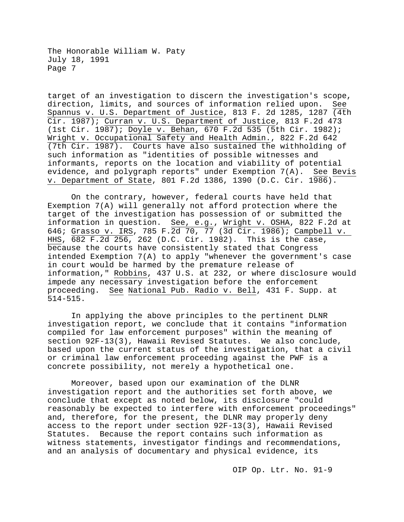target of an investigation to discern the investigation's scope, direction, limits, and sources of information relied upon. See Spannus v. U.S. Department of Justice, 813 F. 2d 1285, 1287 (4th Cir. 1987); Curran v. U.S. Department of Justice, 813 F.2d 473 (1st Cir. 1987); Doyle v. Behan, 670 F.2d 535 (5th Cir. 1982); Wright v. Occupational Safety and Health Admin., 822 F.2d 642 (7th Cir. 1987). Courts have also sustained the withholding of such information as "identities of possible witnesses and informants, reports on the location and viability of potential evidence, and polygraph reports" under Exemption 7(A). See Bevis v. Department of State, 801 F.2d 1386, 1390 (D.C. Cir. 1986).

On the contrary, however, federal courts have held that Exemption 7(A) will generally not afford protection where the target of the investigation has possession of or submitted the information in question. See, e.g., Wright v. OSHA, 822 F.2d at 646; Grasso v. IRS, 785 F.2d 70, 77 (3d Cir. 1986); Campbell v. HHS, 682 F.2d 256, 262 (D.C. Cir. 1982). This is the case, because the courts have consistently stated that Congress intended Exemption 7(A) to apply "whenever the government's case in court would be harmed by the premature release of information," Robbins, 437 U.S. at 232, or where disclosure would impede any necessary investigation before the enforcement proceeding. See National Pub. Radio v. Bell, 431 F. Supp. at 514-515.

In applying the above principles to the pertinent DLNR investigation report, we conclude that it contains "information compiled for law enforcement purposes" within the meaning of section 92F-13(3), Hawaii Revised Statutes. We also conclude, based upon the current status of the investigation, that a civil or criminal law enforcement proceeding against the PWF is a concrete possibility, not merely a hypothetical one.

Moreover, based upon our examination of the DLNR investigation report and the authorities set forth above, we conclude that except as noted below, its disclosure "could reasonably be expected to interfere with enforcement proceedings" and, therefore, for the present, the DLNR may properly deny access to the report under section 92F-13(3), Hawaii Revised Statutes. Because the report contains such information as witness statements, investigator findings and recommendations, and an analysis of documentary and physical evidence, its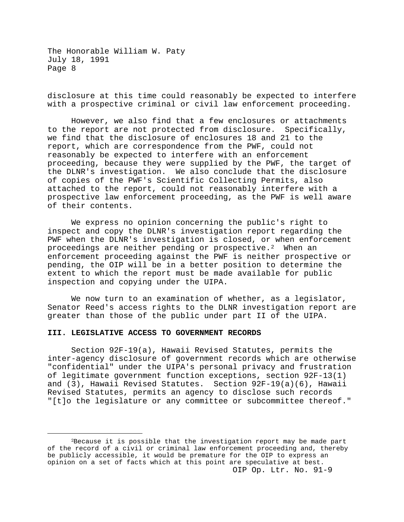disclosure at this time could reasonably be expected to interfere with a prospective criminal or civil law enforcement proceeding.

However, we also find that a few enclosures or attachments to the report are not protected from disclosure. Specifically, we find that the disclosure of enclosures 18 and 21 to the report, which are correspondence from the PWF, could not reasonably be expected to interfere with an enforcement proceeding, because they were supplied by the PWF, the target of the DLNR's investigation. We also conclude that the disclosure of copies of the PWF's Scientific Collecting Permits, also attached to the report, could not reasonably interfere with a prospective law enforcement proceeding, as the PWF is well aware of their contents.

We express no opinion concerning the public's right to inspect and copy the DLNR's investigation report regarding the PWF when the DLNR's investigation is closed, or when enforcement proceedings are neither pending or prospective.<sup>2</sup> When an enforcement proceeding against the PWF is neither prospective or pending, the OIP will be in a better position to determine the extent to which the report must be made available for public inspection and copying under the UIPA.

We now turn to an examination of whether, as a legislator, Senator Reed's access rights to the DLNR investigation report are greater than those of the public under part II of the UIPA.

## **III. LEGISLATIVE ACCESS TO GOVERNMENT RECORDS**

Section 92F-19(a), Hawaii Revised Statutes, permits the inter-agency disclosure of government records which are otherwise "confidential" under the UIPA's personal privacy and frustration of legitimate government function exceptions, section 92F-13(1) and (3), Hawaii Revised Statutes. Section 92F-19(a)(6), Hawaii Revised Statutes, permits an agency to disclose such records "[t]o the legislature or any committee or subcommittee thereof."

<span id="page-7-0"></span>OIP Op. Ltr. No. 91-9 2Because it is possible that the investigation report may be made part of the record of a civil or criminal law enforcement proceeding and, thereby be publicly accessible, it would be premature for the OIP to express an opinion on a set of facts which at this point are speculative at best.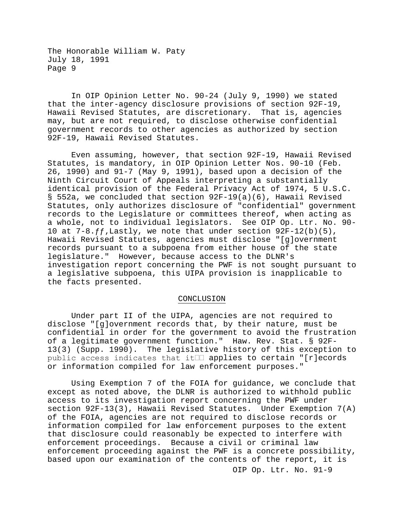In OIP Opinion Letter No. 90-24 (July 9, 1990) we stated that the inter-agency disclosure provisions of section 92F-19, Hawaii Revised Statutes, are discretionary. That is, agencies may, but are not required, to disclose otherwise confidential government records to other agencies as authorized by section 92F-19, Hawaii Revised Statutes.

Even assuming, however, that section 92F-19, Hawaii Revised Statutes, is mandatory, in OIP Opinion Letter Nos. 90-10 (Feb. 26, 1990) and 91-7 (May 9, 1991), based upon a decision of the Ninth Circuit Court of Appeals interpreting a substantially identical provision of the Federal Privacy Act of 1974, 5 U.S.C. § 552a, we concluded that section 92F-19(a)(6), Hawaii Revised Statutes, only authorizes disclosure of "confidential" government records to the Legislature or committees thereof, when acting as a whole, not to individual legislators. See OIP Op. Ltr. No. 90- 10 at  $7-8.ff$ , Lastly, we note that under section  $92F-12(b)(5)$ , Hawaii Revised Statutes, agencies must disclose "[g]overnment records pursuant to a subpoena from either house of the state legislature." However, because access to the DLNR's investigation report concerning the PWF is not sought pursuant to a legislative subpoena, this UIPA provision is inapplicable to the facts presented.

#### CONCLUSION

Under part II of the UIPA, agencies are not required to disclose "[g]overnment records that, by their nature, must be confidential in order for the government to avoid the frustration of a legitimate government function." Haw. Rev. Stat. § 92F-13(3) (Supp. 1990). The legislative history of this exception to public access indicates that it $\Box\Box$  applies to certain "[r]ecords or information compiled for law enforcement purposes."

OIP Op. Ltr. No. 91-9 Using Exemption 7 of the FOIA for guidance, we conclude that except as noted above, the DLNR is authorized to withhold public access to its investigation report concerning the PWF under section 92F-13(3), Hawaii Revised Statutes. Under Exemption 7(A) of the FOIA, agencies are not required to disclose records or information compiled for law enforcement purposes to the extent that disclosure could reasonably be expected to interfere with enforcement proceedings. Because a civil or criminal law enforcement proceeding against the PWF is a concrete possibility, based upon our examination of the contents of the report, it is